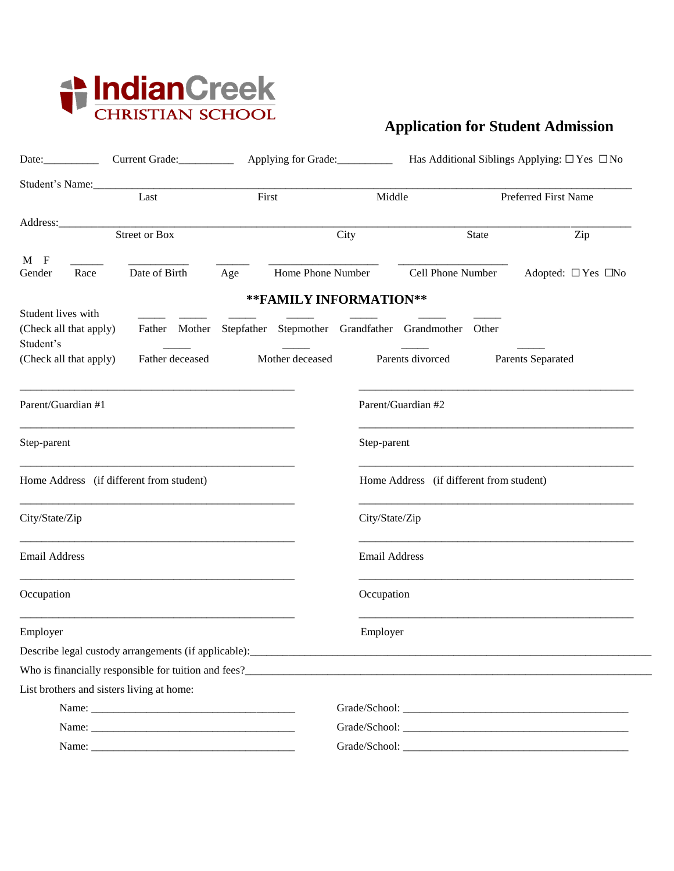

## **Application for Student Admission**

| Date:                                     | Current Grade:                                                    |       |                   |                        |                                          |              |                               |  |
|-------------------------------------------|-------------------------------------------------------------------|-------|-------------------|------------------------|------------------------------------------|--------------|-------------------------------|--|
| Student's Name:<br>Last                   |                                                                   | First |                   |                        | Middle                                   |              | Preferred First Name          |  |
|                                           |                                                                   |       |                   |                        |                                          |              |                               |  |
|                                           | <b>Street or Box</b>                                              |       |                   | City                   |                                          | <b>State</b> | Zip                           |  |
| $M$ F                                     |                                                                   |       |                   |                        |                                          |              |                               |  |
| Gender<br>Race                            | Date of Birth                                                     | Age   | Home Phone Number |                        | Cell Phone Number                        |              | Adopted: $\Box$ Yes $\Box$ No |  |
|                                           |                                                                   |       |                   | **FAMILY INFORMATION** |                                          |              |                               |  |
| Student lives with                        |                                                                   |       |                   |                        |                                          |              |                               |  |
| (Check all that apply)                    | Father Mother Stepfather Stepmother Grandfather Grandmother Other |       |                   |                        |                                          |              |                               |  |
| Student's<br>(Check all that apply)       | Father deceased                                                   |       | Mother deceased   |                        | Parents divorced                         |              | Parents Separated             |  |
|                                           |                                                                   |       |                   |                        |                                          |              |                               |  |
| Parent/Guardian #1                        |                                                                   |       |                   |                        | Parent/Guardian #2                       |              |                               |  |
| Step-parent                               |                                                                   |       |                   |                        | Step-parent                              |              |                               |  |
| Home Address (if different from student)  |                                                                   |       |                   |                        | Home Address (if different from student) |              |                               |  |
| City/State/Zip                            |                                                                   |       |                   |                        | City/State/Zip                           |              |                               |  |
| Email Address                             |                                                                   |       |                   |                        | Email Address                            |              |                               |  |
| Occupation                                |                                                                   |       |                   | Occupation             |                                          |              |                               |  |
| Employer                                  |                                                                   |       |                   | Employer               |                                          |              |                               |  |
|                                           |                                                                   |       |                   |                        |                                          |              |                               |  |
|                                           | Who is financially responsible for tuition and fees?              |       |                   |                        |                                          |              |                               |  |
| List brothers and sisters living at home: |                                                                   |       |                   |                        |                                          |              |                               |  |
|                                           |                                                                   |       |                   |                        |                                          |              |                               |  |
|                                           |                                                                   |       |                   |                        |                                          |              |                               |  |
|                                           |                                                                   |       |                   |                        |                                          |              |                               |  |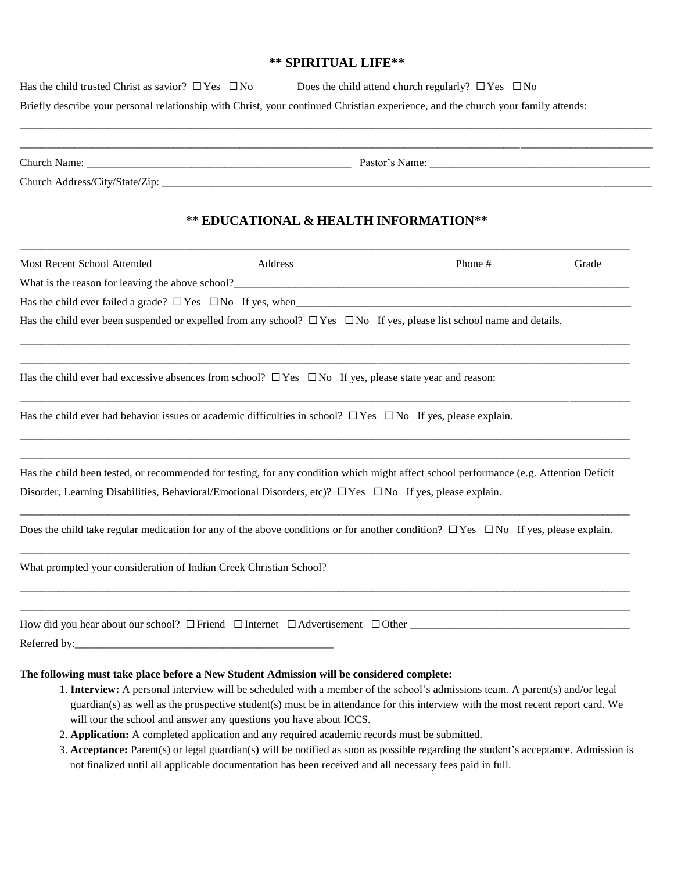## **\*\* SPIRITUAL LIFE\*\***

| Does the child attend church regularly? $\Box$ Yes $\Box$ No<br>Has the child trusted Christ as savior? $\Box$ Yes $\Box$ No<br>Briefly describe your personal relationship with Christ, your continued Christian experience, and the church your family attends: |                                                                                                                                                                                                                                                                                                                                                                                                                                       |         |       |  |  |  |  |  |  |
|-------------------------------------------------------------------------------------------------------------------------------------------------------------------------------------------------------------------------------------------------------------------|---------------------------------------------------------------------------------------------------------------------------------------------------------------------------------------------------------------------------------------------------------------------------------------------------------------------------------------------------------------------------------------------------------------------------------------|---------|-------|--|--|--|--|--|--|
|                                                                                                                                                                                                                                                                   |                                                                                                                                                                                                                                                                                                                                                                                                                                       |         |       |  |  |  |  |  |  |
|                                                                                                                                                                                                                                                                   |                                                                                                                                                                                                                                                                                                                                                                                                                                       |         |       |  |  |  |  |  |  |
|                                                                                                                                                                                                                                                                   | ** EDUCATIONAL & HEALTH INFORMATION**                                                                                                                                                                                                                                                                                                                                                                                                 |         |       |  |  |  |  |  |  |
| Most Recent School Attended                                                                                                                                                                                                                                       | Address                                                                                                                                                                                                                                                                                                                                                                                                                               | Phone # | Grade |  |  |  |  |  |  |
|                                                                                                                                                                                                                                                                   |                                                                                                                                                                                                                                                                                                                                                                                                                                       |         |       |  |  |  |  |  |  |
|                                                                                                                                                                                                                                                                   |                                                                                                                                                                                                                                                                                                                                                                                                                                       |         |       |  |  |  |  |  |  |
| Has the child ever been suspended or expelled from any school? $\Box$ Yes $\Box$ No If yes, please list school name and details.                                                                                                                                  |                                                                                                                                                                                                                                                                                                                                                                                                                                       |         |       |  |  |  |  |  |  |
| Has the child ever had excessive absences from school? $\Box$ Yes $\Box$ No If yes, please state year and reason:                                                                                                                                                 |                                                                                                                                                                                                                                                                                                                                                                                                                                       |         |       |  |  |  |  |  |  |
| Has the child ever had behavior issues or academic difficulties in school? $\Box$ Yes $\Box$ No If yes, please explain.                                                                                                                                           |                                                                                                                                                                                                                                                                                                                                                                                                                                       |         |       |  |  |  |  |  |  |
| Has the child been tested, or recommended for testing, for any condition which might affect school performance (e.g. Attention Deficit                                                                                                                            |                                                                                                                                                                                                                                                                                                                                                                                                                                       |         |       |  |  |  |  |  |  |
| Disorder, Learning Disabilities, Behavioral/Emotional Disorders, etc)? $\Box$ Yes $\Box$ No If yes, please explain.                                                                                                                                               |                                                                                                                                                                                                                                                                                                                                                                                                                                       |         |       |  |  |  |  |  |  |
| Does the child take regular medication for any of the above conditions or for another condition? $\Box$ Yes $\Box$ No If yes, please explain.                                                                                                                     |                                                                                                                                                                                                                                                                                                                                                                                                                                       |         |       |  |  |  |  |  |  |
| What prompted your consideration of Indian Creek Christian School?                                                                                                                                                                                                |                                                                                                                                                                                                                                                                                                                                                                                                                                       |         |       |  |  |  |  |  |  |
|                                                                                                                                                                                                                                                                   |                                                                                                                                                                                                                                                                                                                                                                                                                                       |         |       |  |  |  |  |  |  |
|                                                                                                                                                                                                                                                                   |                                                                                                                                                                                                                                                                                                                                                                                                                                       |         |       |  |  |  |  |  |  |
| The following must take place before a New Student Admission will be considered complete:                                                                                                                                                                         | 1. Interview: A personal interview will be scheduled with a member of the school's admissions team. A parent(s) and/or legal<br>guardian(s) as well as the prospective student(s) must be in attendance for this interview with the most recent report card. We<br>will tour the school and answer any questions you have about ICCS.<br>2. Application: A completed application and any required academic records must be submitted. |         |       |  |  |  |  |  |  |

3. **Acceptance:** Parent(s) or legal guardian(s) will be notified as soon as possible regarding the student's acceptance. Admission is not finalized until all applicable documentation has been received and all necessary fees paid in full.